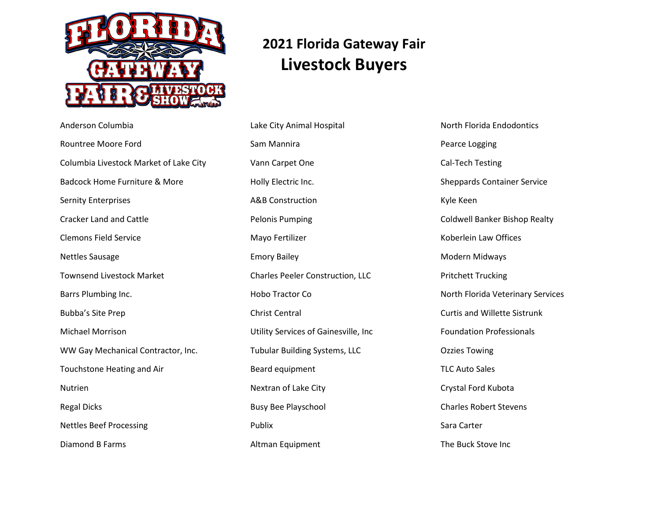

# **2021 Florida Gateway Fair Livestock Buyers**

Anderson Columbia Rountree Moore Ford Columbia Livestock Market of Lake City Badcock Home Furniture & More Sernity Enterprises Cracker Land and Cattle Clemons Field Service Nettles Sausage Townsend Livestock Market Barrs Plumbing Inc. Bubba's Site Prep Michael Morrison WW Gay Mechanical Contractor, Inc. Touchstone Heating and Air Nutrien Regal Dicks Nettles Beef Processing Diamond B Farms

Lake City Animal Hospital Sam Mannira Vann Carpet One Holly Electric Inc. A&B Construction Pelonis Pumping Mayo Fertilizer Emory Bailey Charles Peeler Construction, LLC Hobo Tractor Co Christ Central Utility Services of Gainesville, Inc Tubular Building Systems, LLC Beard equipment Nextran of Lake City Busy Bee Playschool Publix Altman Equipment

North Florida Endodontics Pearce Logging Cal-Tech Testing Sheppards Container Service Kyle Keen Coldwell Banker Bishop Realty Koberlein Law Offices Modern Midways Pritchett Trucking North Florida Veterinary Services Curtis and Willette Sistrunk Foundation Professionals Ozzies Towing TLC Auto Sales Crystal Ford Kubota Charles Robert Stevens Sara Carter The Buck Stove Inc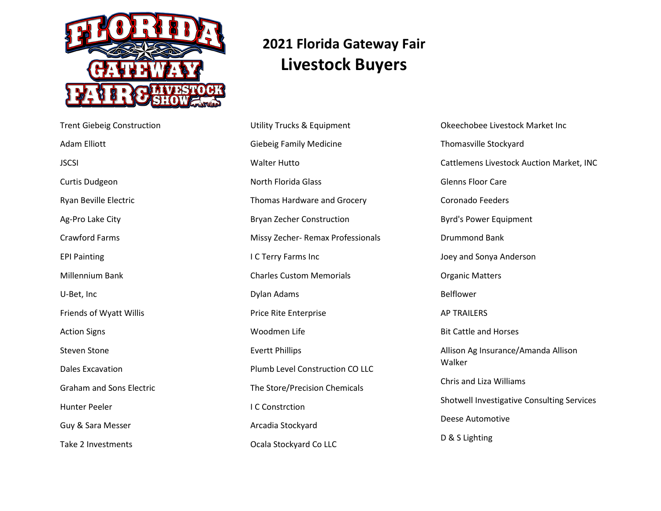

Trent Giebeig Construction

Adam Elliott

Curtis Dudgeon

Ag-Pro Lake City

Crawford Farms

Millennium Bank

Friends of Wyatt Willis

EPI Painting

U-Bet, Inc

Action Signs

Steven Stone

Dales Excavation

Hunter Peeler

Guy & Sara Messer

Take 2 Investments

Graham and Sons Electric

Ryan Beville Electric

**JSCSI** 

# **2021 Florida Gateway Fair Livestock Buyers**

Utility Trucks & Equipment Giebeig Family Medicine Walter Hutto North Florida Glass Thomas Hardware and Grocery Bryan Zecher Construction Missy Zecher- Remax Professionals I C Terry Farms Inc Charles Custom Memorials Dylan Adams Price Rite Enterprise Woodmen Life Evertt Phillips Plumb Level Construction CO LLC The Store/Precision Chemicals I C Constrction Arcadia Stockyard Ocala Stockyard Co LLC

Okeechobee Livestock Market Inc Thomasville Stockyard Cattlemens Livestock Auction Market, INC Glenns Floor Care Coronado Feeders Byrd's Power Equipment Drummond Bank Joey and Sonya Anderson Organic Matters Belflower AP TRAILERS Bit Cattle and Horses Allison Ag Insurance/Amanda Allison Walker Chris and Liza Williams Shotwell Investigative Consulting Services Deese Automotive D & S Lighting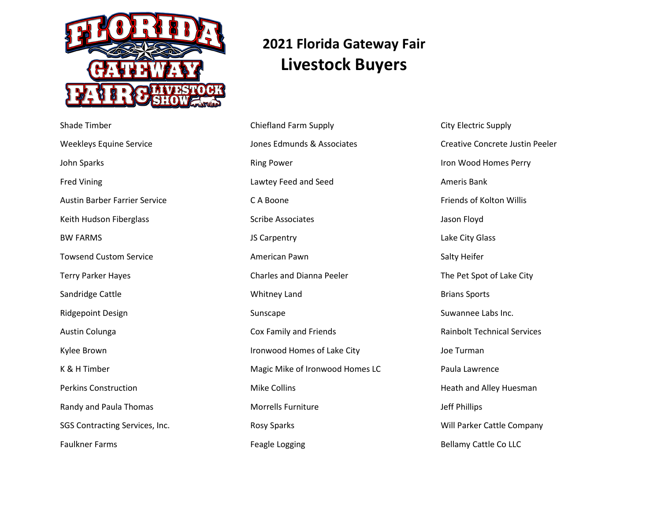

#### Shade Timber Weekleys Equine Service John Sparks Fred Vining Austin Barber Farrier Service Keith Hudson Fiberglass BW FARMS Towsend Custom Service Terry Parker Hayes Sandridge Cattle Ridgepoint Design Austin Colunga Kylee Brown K & H Timber Perkins Construction Randy and Paula Thomas SGS Contracting Services, Inc. Faulkner Farms

# **2021 Florida Gateway Fair Livestock Buyers**

Chiefland Farm Supply Jones Edmunds & Associates Ring Power Lawtey Feed and Seed C A Boone Scribe Associates JS Carpentry American Pawn Charles and Dianna Peeler Whitney Land Sunscape Cox Family and Friends Ironwood Homes of Lake City Magic Mike of Ironwood Homes LC Mike Collins Morrells Furniture Rosy Sparks Feagle Logging

City Electric Supply Creative Concrete Justin Peeler Iron Wood Homes Perry Ameris Bank Friends of Kolton Willis Jason Floyd Lake City Glass Salty Heifer The Pet Spot of Lake City Brians Sports Suwannee Labs Inc. Rainbolt Technical Services Joe Turman Paula Lawrence Heath and Alley Huesman Jeff Phillips Will Parker Cattle Company Bellamy Cattle Co LLC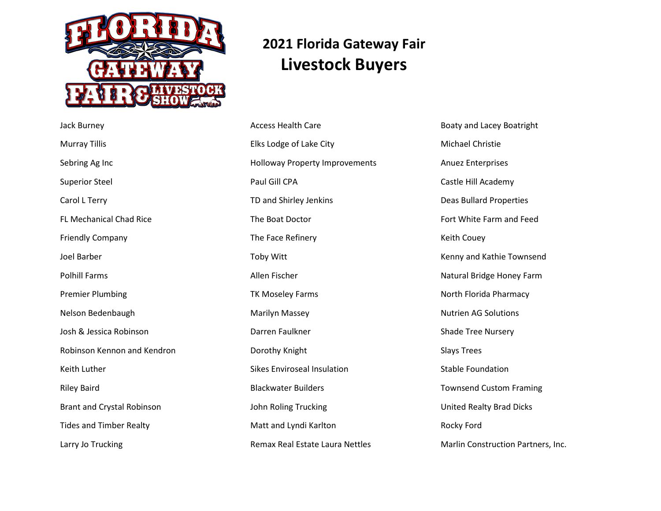

Jack Burney

Murray Tillis

Sebring Ag Inc

Superior Steel

Carol L Terry

Joel Barber

Polhill Farms

Keith Luther

Riley Baird

FL Mechanical Chad Rice

Friendly Company

Premier Plumbing

Nelson Bedenbaugh

Josh & Jessica Robinson

Robinson Kennon and Kendron

Brant and Crystal Robinson

Tides and Timber Realty

Larry Jo Trucking

## **2021 Florida Gateway Fair Livestock Buyers**

Access Health Care Elks Lodge of Lake City Holloway Property Improvements Paul Gill CPA TD and Shirley Jenkins The Boat Doctor The Face Refinery Toby Witt Allen Fischer TK Moseley Farms Marilyn Massey Darren Faulkner Dorothy Knight Sikes Enviroseal Insulation Blackwater Builders John Roling Trucking Matt and Lyndi Karlton Remax Real Estate Laura Nettles

Boaty and Lacey Boatright Michael Christie Anuez Enterprises Castle Hill Academy Deas Bullard Properties Fort White Farm and Feed Keith Couey Kenny and Kathie Townsend Natural Bridge Honey Farm North Florida Pharmacy Nutrien AG Solutions Shade Tree Nursery Slays Trees Stable Foundation Townsend Custom Framing United Realty Brad Dicks Rocky Ford Marlin Construction Partners, Inc.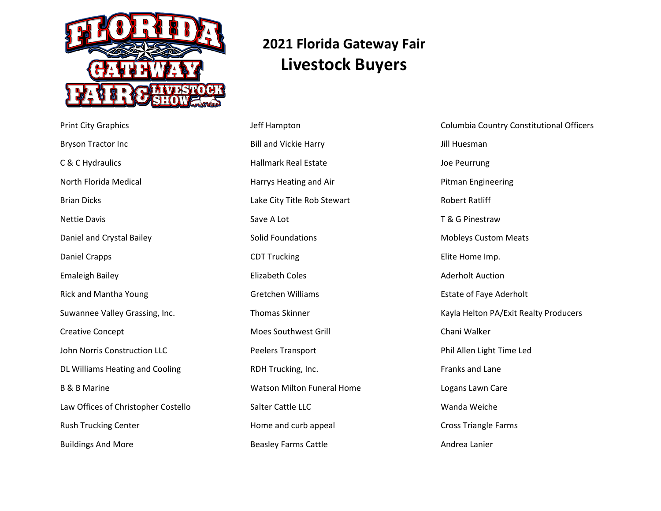

## **2021 Florida Gateway Fair Livestock Buyers**

Print City Graphics Bryson Tractor Inc C & C Hydraulics North Florida Medical Brian Dicks Nettie Davis Daniel and Crystal Bailey Daniel Crapps Emaleigh Bailey Rick and Mantha Young Suwannee Valley Grassing, Inc. Creative Concept John Norris Construction LLC DL Williams Heating and Cooling B & B Marine Law Offices of Christopher Costello Rush Trucking Center Buildings And More

Jeff Hampton Bill and Vickie Harry Hallmark Real Estate Harrys Heating and Air Lake City Title Rob Stewart Save A Lot Solid Foundations CDT Trucking Elizabeth Coles Gretchen Williams Thomas Skinner Moes Southwest Grill Peelers Transport RDH Trucking, Inc. Watson Milton Funeral Home Salter Cattle LLC Home and curb appeal Beasley Farms Cattle

Columbia Country Constitutional Officers Jill Huesman Joe Peurrung Pitman Engineering Robert Ratliff T & G Pinestraw Mobleys Custom Meats Elite Home Imp. Aderholt Auction Estate of Faye Aderholt Kayla Helton PA/Exit Realty Producers Chani Walker Phil Allen Light Time Led Franks and Lane Logans Lawn Care Wanda Weiche Cross Triangle Farms Andrea Lanier